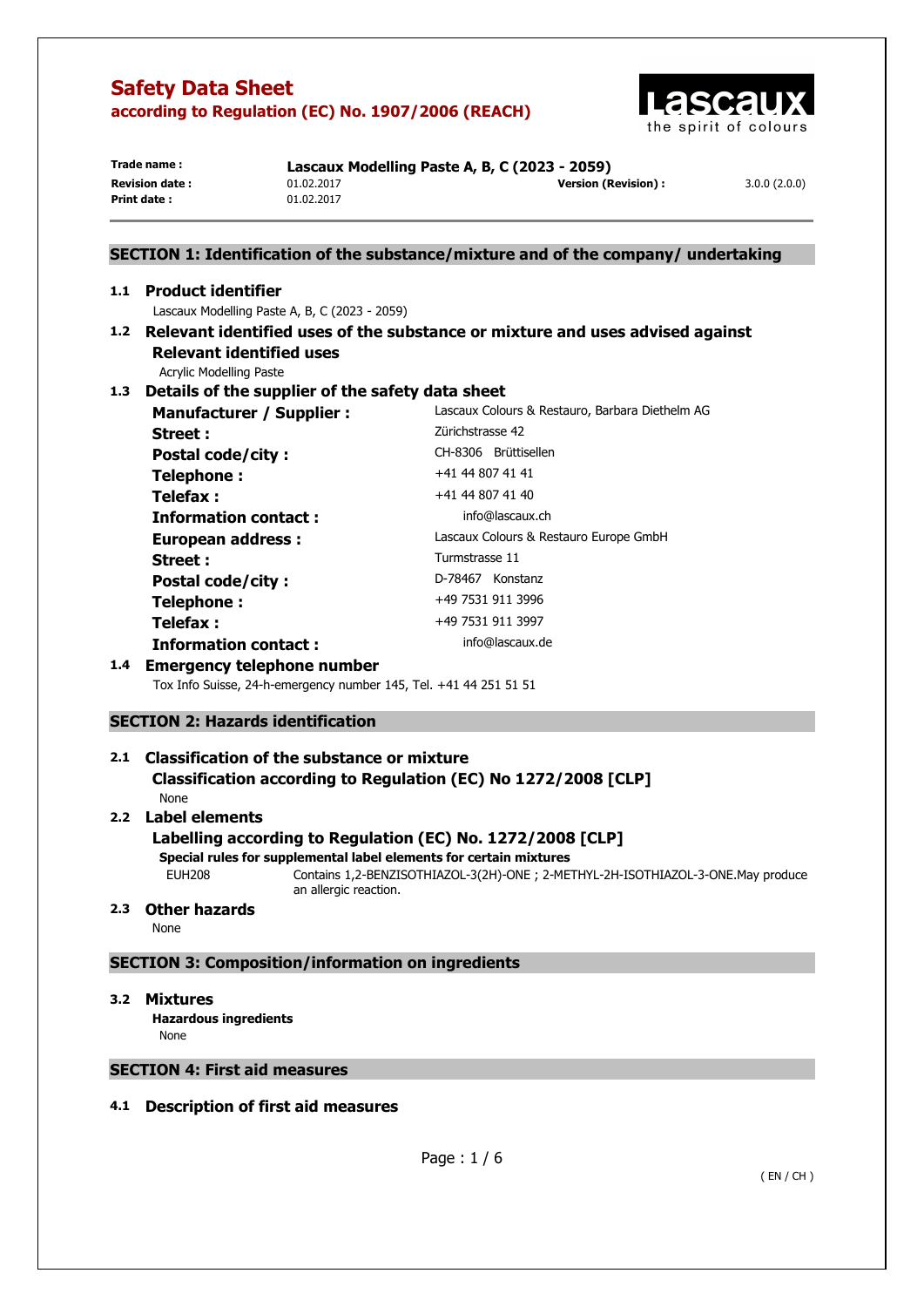

| Trade name :          | Lascaux Modelling Paste A, B, C (2023 - 2059) |                      |              |
|-----------------------|-----------------------------------------------|----------------------|--------------|
| <b>Revision date:</b> | 01.02.2017                                    | Version (Revision) : | 3.0.0(2.0.0) |
| Print date:           | 01.02.2017                                    |                      |              |
|                       |                                               |                      |              |

# **SECTION 1: Identification of the substance/mixture and of the company/ undertaking**

## **1.1 Product identifier**  Lascaux Modelling Paste A, B, C (2023 - 2059) **1.2 Relevant identified uses of the substance or mixture and uses advised against**

**Relevant identified uses** 

Acrylic Modelling Paste

# **1.3 Details of the supplier of the safety data sheet**

| <b>Manufacturer / Supplier:</b> | Lascaux Colours & Restauro, Barbara Diethelm AG |
|---------------------------------|-------------------------------------------------|
| Street:                         | Zürichstrasse 42                                |
| <b>Postal code/city:</b>        | CH-8306 Brüttisellen                            |
| Telephone:                      | +41 44 807 41 41                                |
| Telefax :                       | +41 44 807 41 40                                |
| <b>Information contact:</b>     | info@lascaux.ch                                 |
| <b>European address:</b>        | Lascaux Colours & Restauro Europe GmbH          |
| Street :                        | Turmstrasse 11                                  |
| <b>Postal code/city:</b>        | D-78467 Konstanz                                |
| Telephone:                      | +49 7531 911 3996                               |
| Telefax :                       | +49 7531 911 3997                               |
| <b>Information contact:</b>     | info@lascaux.de                                 |

## **1.4 Emergency telephone number**

Tox Info Suisse, 24-h-emergency number 145, Tel. +41 44 251 51 51

## **SECTION 2: Hazards identification**

## **2.1 Classification of the substance or mixture Classification according to Regulation (EC) No 1272/2008 [CLP]**

None

# **2.2 Label elements**

## **Labelling according to Regulation (EC) No. 1272/2008 [CLP]**

**Special rules for supplemental label elements for certain mixtures** 

EUH208 Contains 1,2-BENZISOTHIAZOL-3(2H)-ONE ; 2-METHYL-2H-ISOTHIAZOL-3-ONE.May produce an allergic reaction.

# **2.3 Other hazards**

None

## **SECTION 3: Composition/information on ingredients**

## **3.2 Mixtures**

**Hazardous ingredients None** 

## **SECTION 4: First aid measures**

## **4.1 Description of first aid measures**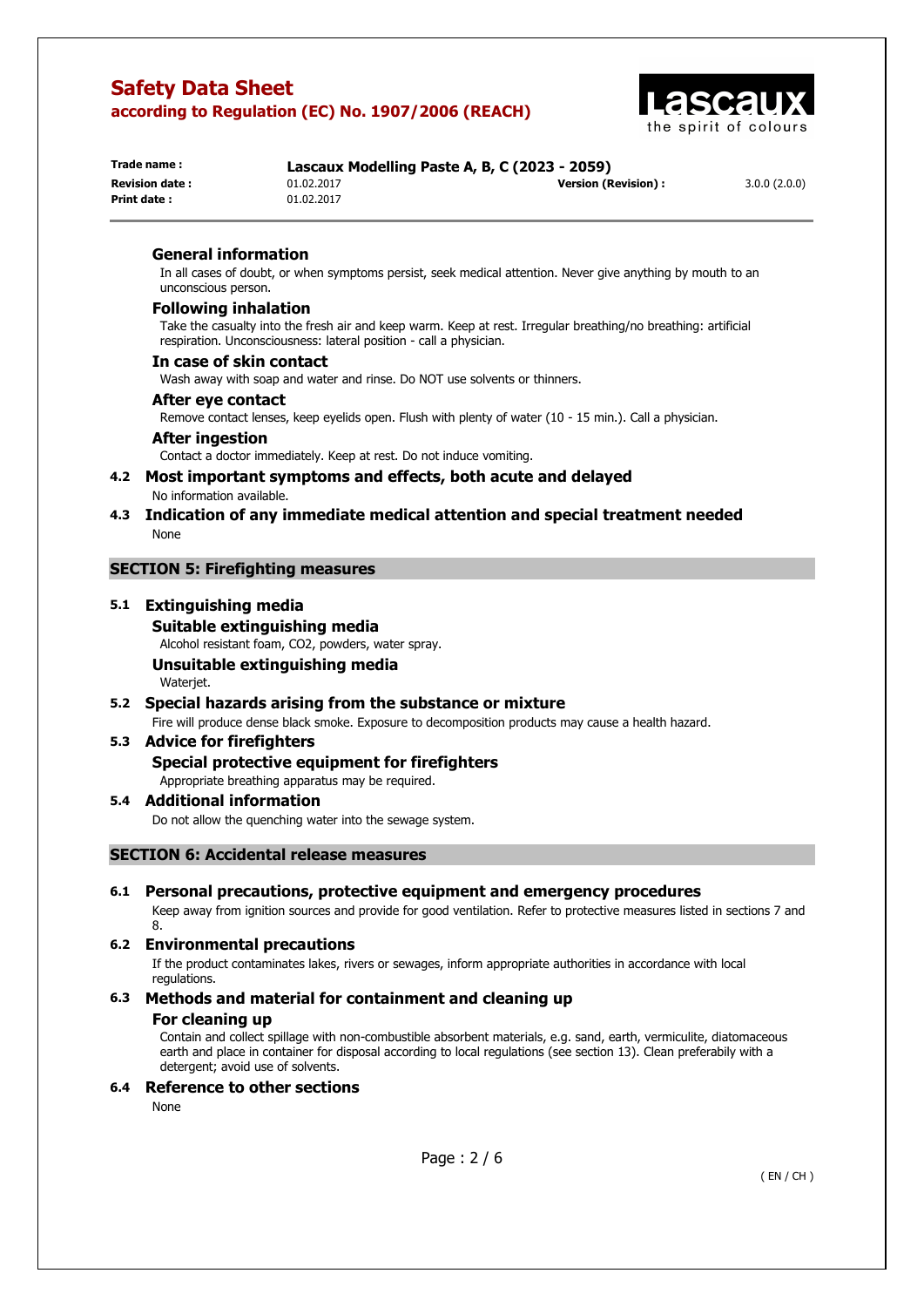

| Trade name:            | Lascaux Modelling Paste A, B, C (2023 - 2059) |                            |              |
|------------------------|-----------------------------------------------|----------------------------|--------------|
| <b>Revision date :</b> | 01.02.2017                                    | <b>Version (Revision):</b> | 3.0.0(2.0.0) |
| Print date:            | 01.02.2017                                    |                            |              |

## **General information**

In all cases of doubt, or when symptoms persist, seek medical attention. Never give anything by mouth to an unconscious person.

#### **Following inhalation**

Take the casualty into the fresh air and keep warm. Keep at rest. Irregular breathing/no breathing: artificial respiration. Unconsciousness: lateral position - call a physician.

#### **In case of skin contact**

Wash away with soap and water and rinse. Do NOT use solvents or thinners.

#### **After eye contact**

Remove contact lenses, keep eyelids open. Flush with plenty of water (10 - 15 min.). Call a physician.

#### **After ingestion**

Contact a doctor immediately. Keep at rest. Do not induce vomiting.

### **4.2 Most important symptoms and effects, both acute and delayed**  No information available.

## **4.3 Indication of any immediate medical attention and special treatment needed**  None

## **SECTION 5: Firefighting measures**

### **5.1 Extinguishing media**

**Suitable extinguishing media**  Alcohol resistant foam, CO2, powders, water spray. **Unsuitable extinguishing media** 

Waterjet.

## **5.2 Special hazards arising from the substance or mixture**

Fire will produce dense black smoke. Exposure to decomposition products may cause a health hazard.

## **5.3 Advice for firefighters**

## **Special protective equipment for firefighters**

Appropriate breathing apparatus may be required.

### **5.4 Additional information**

Do not allow the quenching water into the sewage system.

## **SECTION 6: Accidental release measures**

## **6.1 Personal precautions, protective equipment and emergency procedures**

Keep away from ignition sources and provide for good ventilation. Refer to protective measures listed in sections 7 and 8.

## **6.2 Environmental precautions**

If the product contaminates lakes, rivers or sewages, inform appropriate authorities in accordance with local regulations.

## **6.3 Methods and material for containment and cleaning up**

#### **For cleaning up**

Contain and collect spillage with non-combustible absorbent materials, e.g. sand, earth, vermiculite, diatomaceous earth and place in container for disposal according to local regulations (see section 13). Clean preferabily with a detergent; avoid use of solvents.

## **6.4 Reference to other sections**

None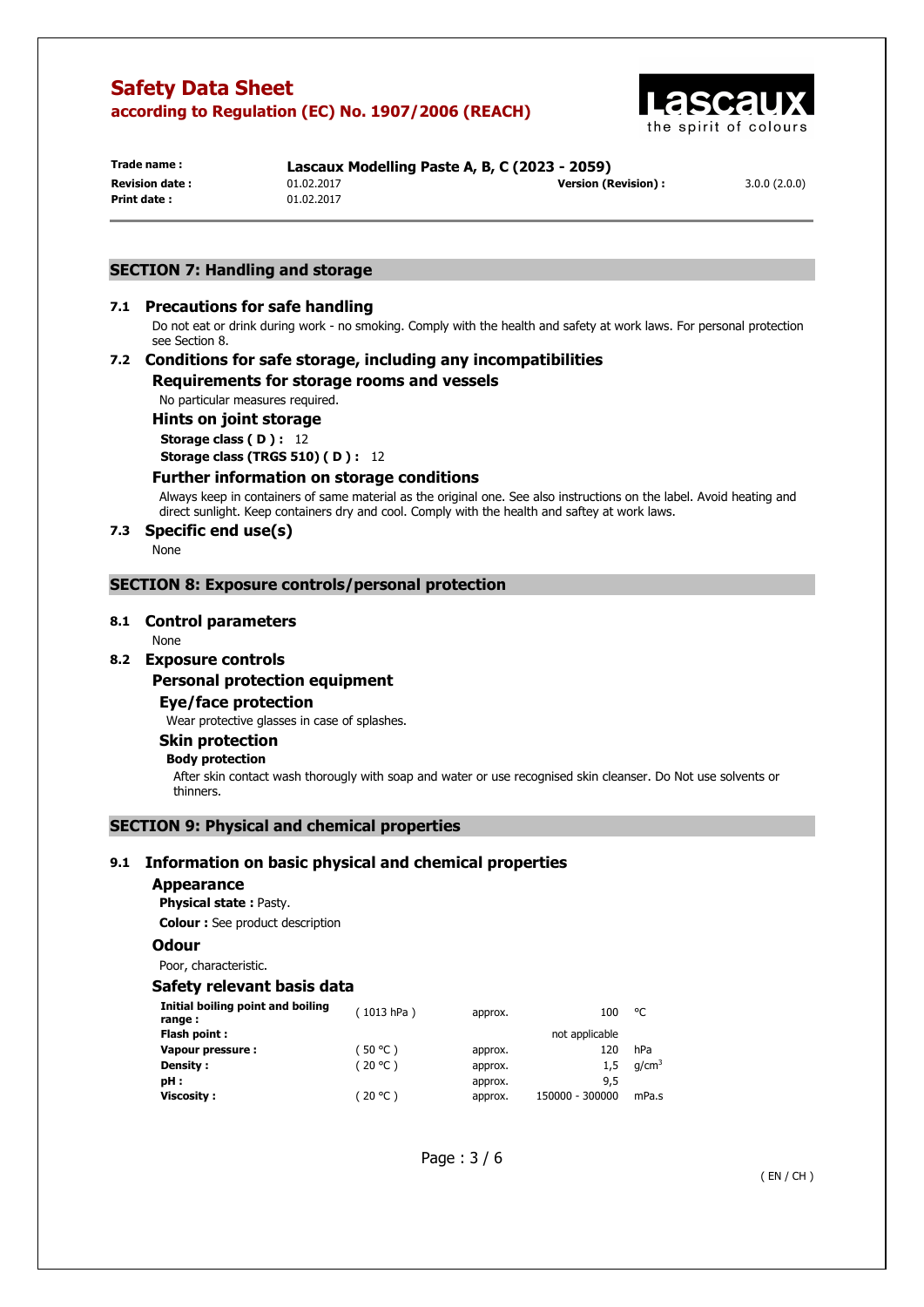

**Print date :** 01.02.2017

**Trade name : Lascaux Modelling Paste A, B, C (2023 - 2059) Revision date :** 01.02.2017 **Version (Revision) :** 3.0.0 (2.0.0)

## **SECTION 7: Handling and storage**

#### **7.1 Precautions for safe handling**

Do not eat or drink during work - no smoking. Comply with the health and safety at work laws. For personal protection see Section 8.

## **7.2 Conditions for safe storage, including any incompatibilities Requirements for storage rooms and vessels**

No particular measures required.

**Hints on joint storage Storage class ( D ) :** 12 **Storage class (TRGS 510) ( D ) :** 12

# **Further information on storage conditions**

Always keep in containers of same material as the original one. See also instructions on the label. Avoid heating and direct sunlight. Keep containers dry and cool. Comply with the health and saftey at work laws.

## **7.3 Specific end use(s)**

None

### **SECTION 8: Exposure controls/personal protection**

#### **8.1 Control parameters**

None

## **8.2 Exposure controls**

#### **Personal protection equipment**

**Eye/face protection** 

Wear protective glasses in case of splashes.

## **Skin protection**

#### **Body protection**

After skin contact wash thorougly with soap and water or use recognised skin cleanser. Do Not use solvents or thinners.

## **SECTION 9: Physical and chemical properties**

## **9.1 Information on basic physical and chemical properties**

#### **Appearance**

**Physical state :** Pasty.

**Colour :** See product description

## **Odour**

Poor, characteristic.

## **Safety relevant basis data**

| Initial boiling point and boiling<br>range: | (1013 hPa) | approx. | 100             | °C                |
|---------------------------------------------|------------|---------|-----------------|-------------------|
| Flash point:                                |            |         | not applicable  |                   |
| Vapour pressure :                           | (50 °C)    | approx. | 120             | hPa               |
| Density :                                   | (20 °C)    | approx. | 1.5             | q/cm <sup>3</sup> |
| pH:                                         |            | approx. | 9,5             |                   |
| Viscosity :                                 | (20 °C )   | approx. | 150000 - 300000 | mPa.s             |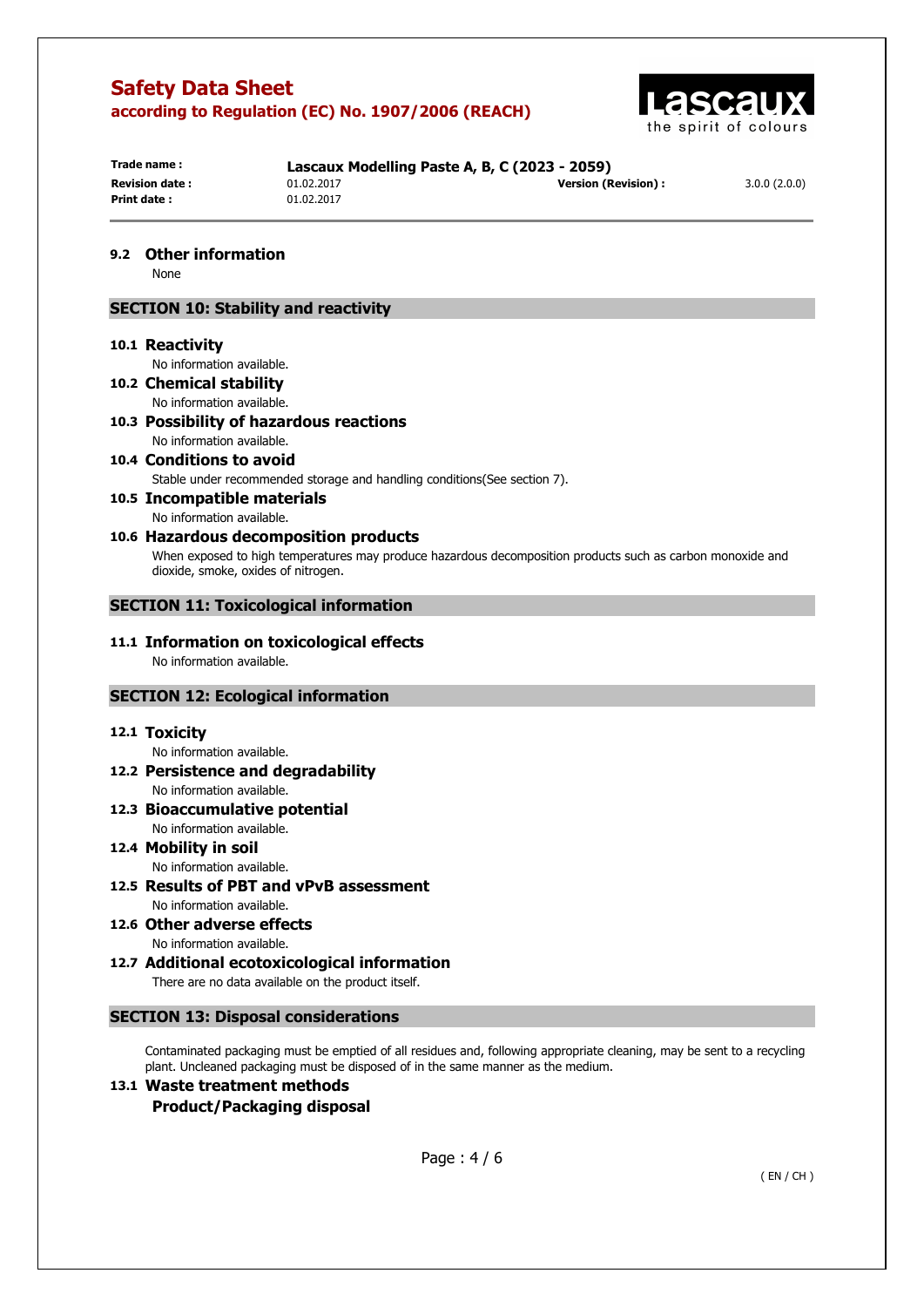

| Trade name:           |
|-----------------------|
| <b>Revision date:</b> |
| Print date:           |
|                       |

**Print date :** 01.02.2017

**Trade name : Lascaux Modelling Paste A, B, C (2023 - 2059) Revision date :** 01.02.2017 **Version (Revision) :** 3.0.0 (2.0.0)

## **9.2 Other information**

None

## **SECTION 10: Stability and reactivity**

#### **10.1 Reactivity**

No information available.

- **10.2 Chemical stability**  No information available.
- **10.3 Possibility of hazardous reactions**  No information available.
- **10.4 Conditions to avoid**  Stable under recommended storage and handling conditions(See section 7).

# **10.5 Incompatible materials**

No information available.

# **10.6 Hazardous decomposition products**

When exposed to high temperatures may produce hazardous decomposition products such as carbon monoxide and dioxide, smoke, oxides of nitrogen.

## **SECTION 11: Toxicological information**

#### **11.1 Information on toxicological effects**  No information available.

## **SECTION 12: Ecological information**

## **12.1 Toxicity**

No information available.

**12.2 Persistence and degradability**  No information available.

#### **12.3 Bioaccumulative potential**  No information available.

#### **12.4 Mobility in soil**  No information available.

**12.5 Results of PBT and vPvB assessment**  No information available.

**12.6 Other adverse effects** 

No information available. **12.7 Additional ecotoxicological information** 

There are no data available on the product itself.

## **SECTION 13: Disposal considerations**

Contaminated packaging must be emptied of all residues and, following appropriate cleaning, may be sent to a recycling plant. Uncleaned packaging must be disposed of in the same manner as the medium.

## **13.1 Waste treatment methods Product/Packaging disposal**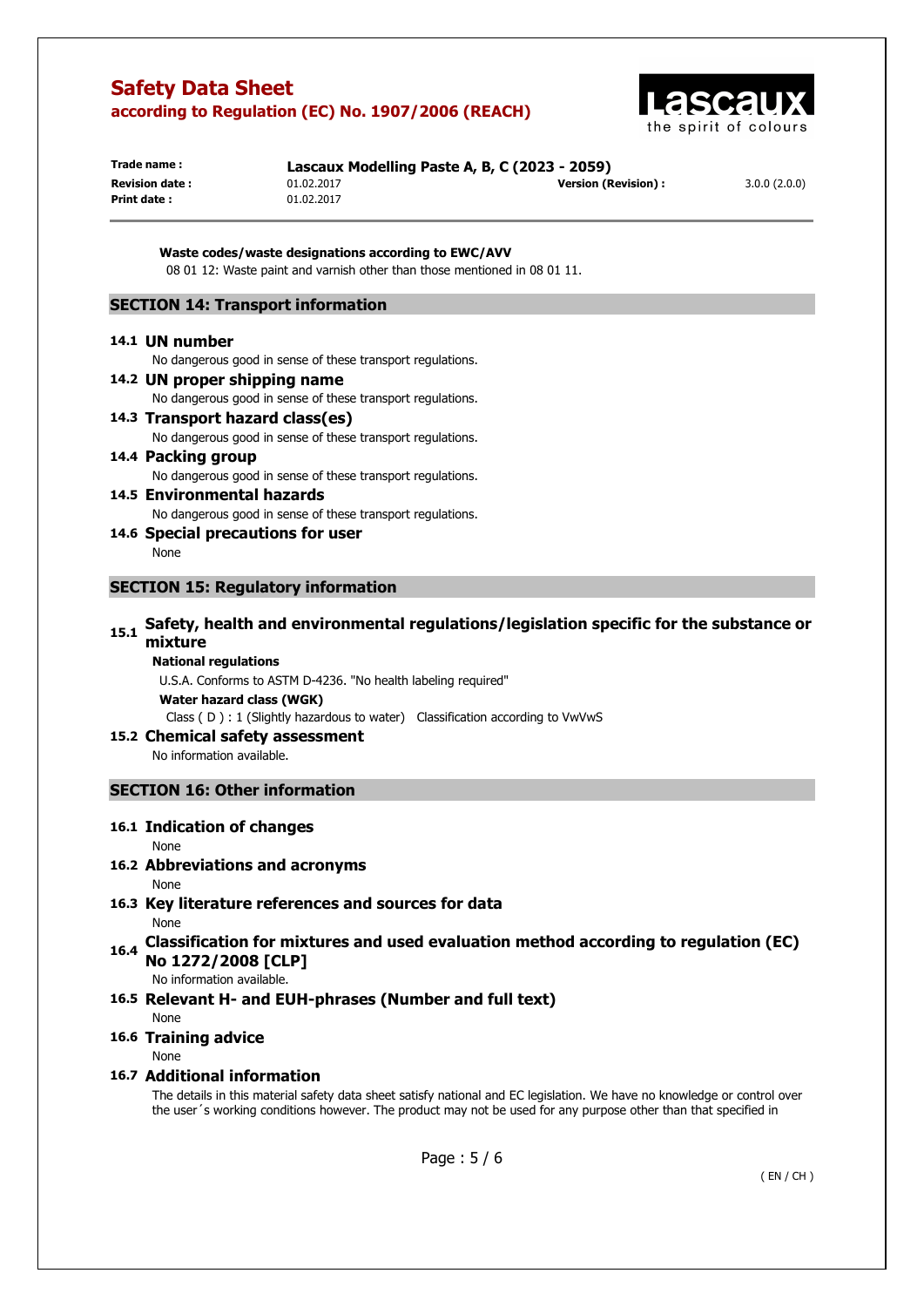

| Trade name:           | Lascaux Modelling Paste A, B, C (2023 - 2059) |                      |              |
|-----------------------|-----------------------------------------------|----------------------|--------------|
| <b>Revision date:</b> | 01.02.2017                                    | Version (Revision) : | 3.0.0(2.0.0) |
| Print date:           | 01.02.2017                                    |                      |              |

**Waste codes/waste designations according to EWC/AVV**  08 01 12: Waste paint and varnish other than those mentioned in 08 01 11.

## **SECTION 14: Transport information**

#### **14.1 UN number**

No dangerous good in sense of these transport regulations.

- **14.2 UN proper shipping name**  No dangerous good in sense of these transport regulations.
- **14.3 Transport hazard class(es)**  No dangerous good in sense of these transport regulations.
- **14.4 Packing group**  No dangerous good in sense of these transport regulations.
- **14.5 Environmental hazards**  No dangerous good in sense of these transport regulations.
- **14.6 Special precautions for user**  None

### **SECTION 15: Regulatory information**

# **15.1 Safety, health and environmental regulations/legislation specific for the substance or mixture**

#### **National regulations**

U.S.A. Conforms to ASTM D-4236. "No health labeling required"

**Water hazard class (WGK)** 

Class ( D ) : 1 (Slightly hazardous to water) Classification according to VwVwS

#### **15.2 Chemical safety assessment**

No information available.

## **SECTION 16: Other information**

## **16.1 Indication of changes**

#### None

## **16.2 Abbreviations and acronyms**

#### None

**16.3 Key literature references and sources for data** 

None

**16.4 Classification for mixtures and used evaluation method according to regulation (EC) No 1272/2008 [CLP]** 

No information available.

## **16.5 Relevant H- and EUH-phrases (Number and full text)**

None

## **16.6 Training advice**

#### None

## **16.7 Additional information**

The details in this material safety data sheet satisfy national and EC legislation. We have no knowledge or control over the user´s working conditions however. The product may not be used for any purpose other than that specified in